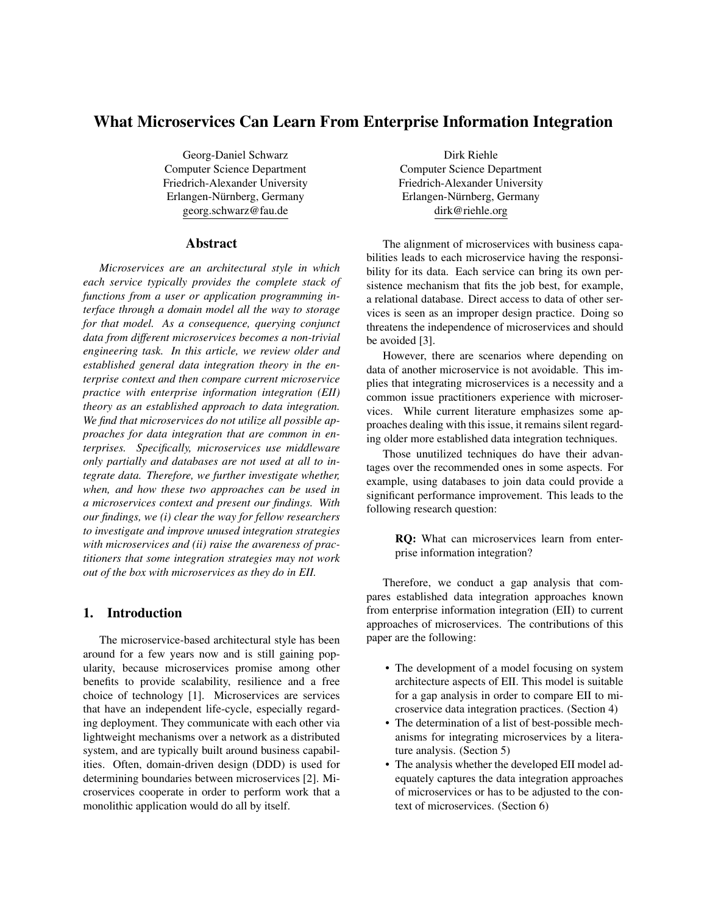# What Microservices Can Learn From Enterprise Information Integration

Georg-Daniel Schwarz Computer Science Department Friedrich-Alexander University Erlangen-Nürnberg, Germany georg.schwarz@fau.de

## Abstract

*Microservices are an architectural style in which each service typically provides the complete stack of functions from a user or application programming interface through a domain model all the way to storage for that model. As a consequence, querying conjunct data from different microservices becomes a non-trivial engineering task. In this article, we review older and established general data integration theory in the enterprise context and then compare current microservice practice with enterprise information integration (EII) theory as an established approach to data integration. We find that microservices do not utilize all possible approaches for data integration that are common in enterprises. Specifically, microservices use middleware only partially and databases are not used at all to integrate data. Therefore, we further investigate whether, when, and how these two approaches can be used in a microservices context and present our findings. With our findings, we (i) clear the way for fellow researchers to investigate and improve unused integration strategies with microservices and (ii) raise the awareness of practitioners that some integration strategies may not work out of the box with microservices as they do in EII.*

# 1. Introduction

The microservice-based architectural style has been around for a few years now and is still gaining popularity, because microservices promise among other benefits to provide scalability, resilience and a free choice of technology [1]. Microservices are services that have an independent life-cycle, especially regarding deployment. They communicate with each other via lightweight mechanisms over a network as a distributed system, and are typically built around business capabilities. Often, domain-driven design (DDD) is used for determining boundaries between microservices [2]. Microservices cooperate in order to perform work that a monolithic application would do all by itself.

Dirk Riehle Computer Science Department Friedrich-Alexander University Erlangen-Nürnberg, Germany dirk@riehle.org

The alignment of microservices with business capabilities leads to each microservice having the responsibility for its data. Each service can bring its own persistence mechanism that fits the job best, for example, a relational database. Direct access to data of other services is seen as an improper design practice. Doing so threatens the independence of microservices and should be avoided [3].

However, there are scenarios where depending on data of another microservice is not avoidable. This implies that integrating microservices is a necessity and a common issue practitioners experience with microservices. While current literature emphasizes some approaches dealing with this issue, it remains silent regarding older more established data integration techniques.

Those unutilized techniques do have their advantages over the recommended ones in some aspects. For example, using databases to join data could provide a significant performance improvement. This leads to the following research question:

> RQ: What can microservices learn from enterprise information integration?

Therefore, we conduct a gap analysis that compares established data integration approaches known from enterprise information integration (EII) to current approaches of microservices. The contributions of this paper are the following:

- The development of a model focusing on system architecture aspects of EII. This model is suitable for a gap analysis in order to compare EII to microservice data integration practices. (Section 4)
- The determination of a list of best-possible mechanisms for integrating microservices by a literature analysis. (Section 5)
- The analysis whether the developed EII model adequately captures the data integration approaches of microservices or has to be adjusted to the context of microservices. (Section 6)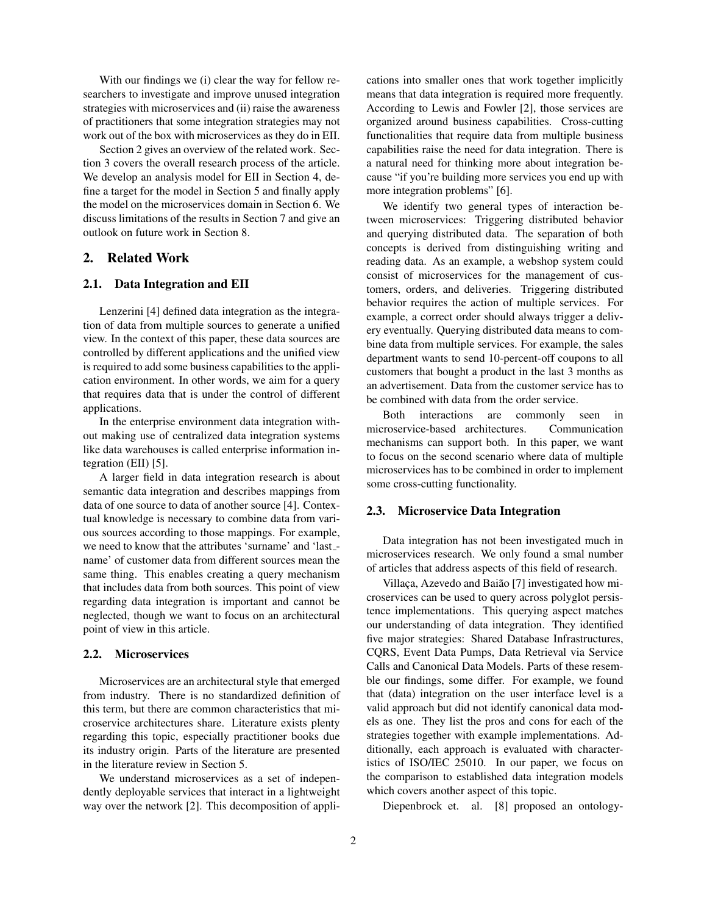With our findings we (i) clear the way for fellow researchers to investigate and improve unused integration strategies with microservices and (ii) raise the awareness of practitioners that some integration strategies may not work out of the box with microservices as they do in EII.

Section 2 gives an overview of the related work. Section 3 covers the overall research process of the article. We develop an analysis model for EII in Section 4, define a target for the model in Section 5 and finally apply the model on the microservices domain in Section 6. We discuss limitations of the results in Section 7 and give an outlook on future work in Section 8.

# 2. Related Work

# 2.1. Data Integration and EII

Lenzerini [4] defined data integration as the integration of data from multiple sources to generate a unified view. In the context of this paper, these data sources are controlled by different applications and the unified view is required to add some business capabilities to the application environment. In other words, we aim for a query that requires data that is under the control of different applications.

In the enterprise environment data integration without making use of centralized data integration systems like data warehouses is called enterprise information integration (EII) [5].

A larger field in data integration research is about semantic data integration and describes mappings from data of one source to data of another source [4]. Contextual knowledge is necessary to combine data from various sources according to those mappings. For example, we need to know that the attributes 'surname' and 'last\_name' of customer data from different sources mean the same thing. This enables creating a query mechanism that includes data from both sources. This point of view regarding data integration is important and cannot be neglected, though we want to focus on an architectural point of view in this article.

## 2.2. Microservices

Microservices are an architectural style that emerged from industry. There is no standardized definition of this term, but there are common characteristics that microservice architectures share. Literature exists plenty regarding this topic, especially practitioner books due its industry origin. Parts of the literature are presented in the literature review in Section 5.

We understand microservices as a set of independently deployable services that interact in a lightweight way over the network [2]. This decomposition of applications into smaller ones that work together implicitly means that data integration is required more frequently. According to Lewis and Fowler [2], those services are organized around business capabilities. Cross-cutting functionalities that require data from multiple business capabilities raise the need for data integration. There is a natural need for thinking more about integration because "if you're building more services you end up with more integration problems" [6].

We identify two general types of interaction between microservices: Triggering distributed behavior and querying distributed data. The separation of both concepts is derived from distinguishing writing and reading data. As an example, a webshop system could consist of microservices for the management of customers, orders, and deliveries. Triggering distributed behavior requires the action of multiple services. For example, a correct order should always trigger a delivery eventually. Querying distributed data means to combine data from multiple services. For example, the sales department wants to send 10-percent-off coupons to all customers that bought a product in the last 3 months as an advertisement. Data from the customer service has to be combined with data from the order service.

Both interactions are commonly seen in microservice-based architectures. Communication mechanisms can support both. In this paper, we want to focus on the second scenario where data of multiple microservices has to be combined in order to implement some cross-cutting functionality.

#### 2.3. Microservice Data Integration

Data integration has not been investigated much in microservices research. We only found a smal number of articles that address aspects of this field of research.

Villaça, Azevedo and Baião [7] investigated how microservices can be used to query across polyglot persistence implementations. This querying aspect matches our understanding of data integration. They identified five major strategies: Shared Database Infrastructures, CQRS, Event Data Pumps, Data Retrieval via Service Calls and Canonical Data Models. Parts of these resemble our findings, some differ. For example, we found that (data) integration on the user interface level is a valid approach but did not identify canonical data models as one. They list the pros and cons for each of the strategies together with example implementations. Additionally, each approach is evaluated with characteristics of ISO/IEC 25010. In our paper, we focus on the comparison to established data integration models which covers another aspect of this topic.

Diepenbrock et. al. [8] proposed an ontology-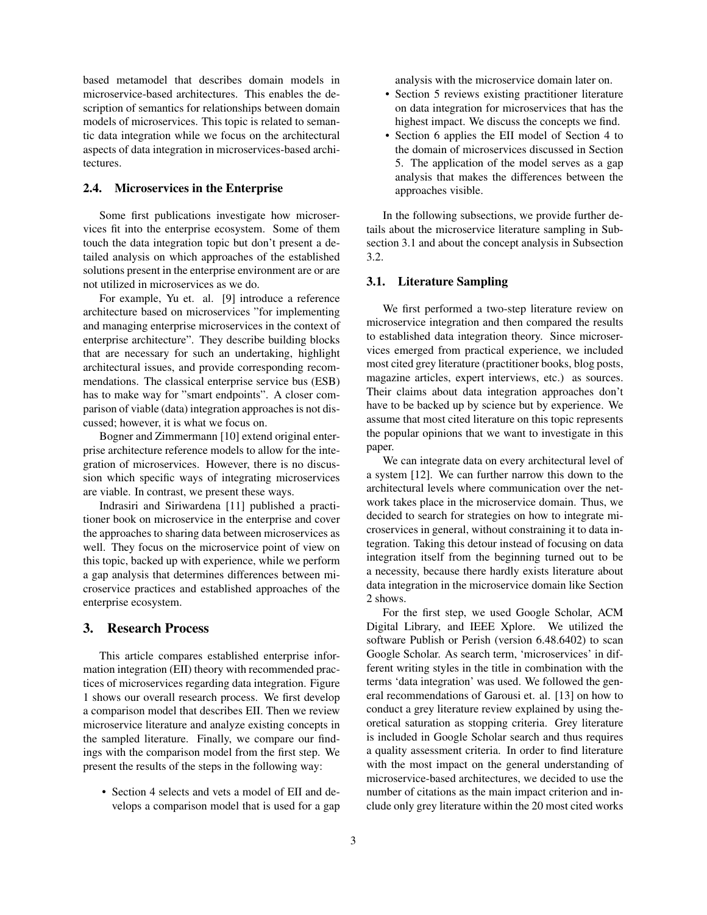based metamodel that describes domain models in microservice-based architectures. This enables the description of semantics for relationships between domain models of microservices. This topic is related to semantic data integration while we focus on the architectural aspects of data integration in microservices-based architectures.

## 2.4. Microservices in the Enterprise

Some first publications investigate how microservices fit into the enterprise ecosystem. Some of them touch the data integration topic but don't present a detailed analysis on which approaches of the established solutions present in the enterprise environment are or are not utilized in microservices as we do.

For example, Yu et. al. [9] introduce a reference architecture based on microservices "for implementing and managing enterprise microservices in the context of enterprise architecture". They describe building blocks that are necessary for such an undertaking, highlight architectural issues, and provide corresponding recommendations. The classical enterprise service bus (ESB) has to make way for "smart endpoints". A closer comparison of viable (data) integration approaches is not discussed; however, it is what we focus on.

Bogner and Zimmermann [10] extend original enterprise architecture reference models to allow for the integration of microservices. However, there is no discussion which specific ways of integrating microservices are viable. In contrast, we present these ways.

Indrasiri and Siriwardena [11] published a practitioner book on microservice in the enterprise and cover the approaches to sharing data between microservices as well. They focus on the microservice point of view on this topic, backed up with experience, while we perform a gap analysis that determines differences between microservice practices and established approaches of the enterprise ecosystem.

# 3. Research Process

This article compares established enterprise information integration (EII) theory with recommended practices of microservices regarding data integration. Figure 1 shows our overall research process. We first develop a comparison model that describes EII. Then we review microservice literature and analyze existing concepts in the sampled literature. Finally, we compare our findings with the comparison model from the first step. We present the results of the steps in the following way:

• Section 4 selects and vets a model of EII and develops a comparison model that is used for a gap analysis with the microservice domain later on.

- Section 5 reviews existing practitioner literature on data integration for microservices that has the highest impact. We discuss the concepts we find.
- Section 6 applies the EII model of Section 4 to the domain of microservices discussed in Section 5. The application of the model serves as a gap analysis that makes the differences between the approaches visible.

In the following subsections, we provide further details about the microservice literature sampling in Subsection 3.1 and about the concept analysis in Subsection 3.2.

#### 3.1. Literature Sampling

We first performed a two-step literature review on microservice integration and then compared the results to established data integration theory. Since microservices emerged from practical experience, we included most cited grey literature (practitioner books, blog posts, magazine articles, expert interviews, etc.) as sources. Their claims about data integration approaches don't have to be backed up by science but by experience. We assume that most cited literature on this topic represents the popular opinions that we want to investigate in this paper.

We can integrate data on every architectural level of a system [12]. We can further narrow this down to the architectural levels where communication over the network takes place in the microservice domain. Thus, we decided to search for strategies on how to integrate microservices in general, without constraining it to data integration. Taking this detour instead of focusing on data integration itself from the beginning turned out to be a necessity, because there hardly exists literature about data integration in the microservice domain like Section 2 shows.

For the first step, we used Google Scholar, ACM Digital Library, and IEEE Xplore. We utilized the software Publish or Perish (version 6.48.6402) to scan Google Scholar. As search term, 'microservices' in different writing styles in the title in combination with the terms 'data integration' was used. We followed the general recommendations of Garousi et. al. [13] on how to conduct a grey literature review explained by using theoretical saturation as stopping criteria. Grey literature is included in Google Scholar search and thus requires a quality assessment criteria. In order to find literature with the most impact on the general understanding of microservice-based architectures, we decided to use the number of citations as the main impact criterion and include only grey literature within the 20 most cited works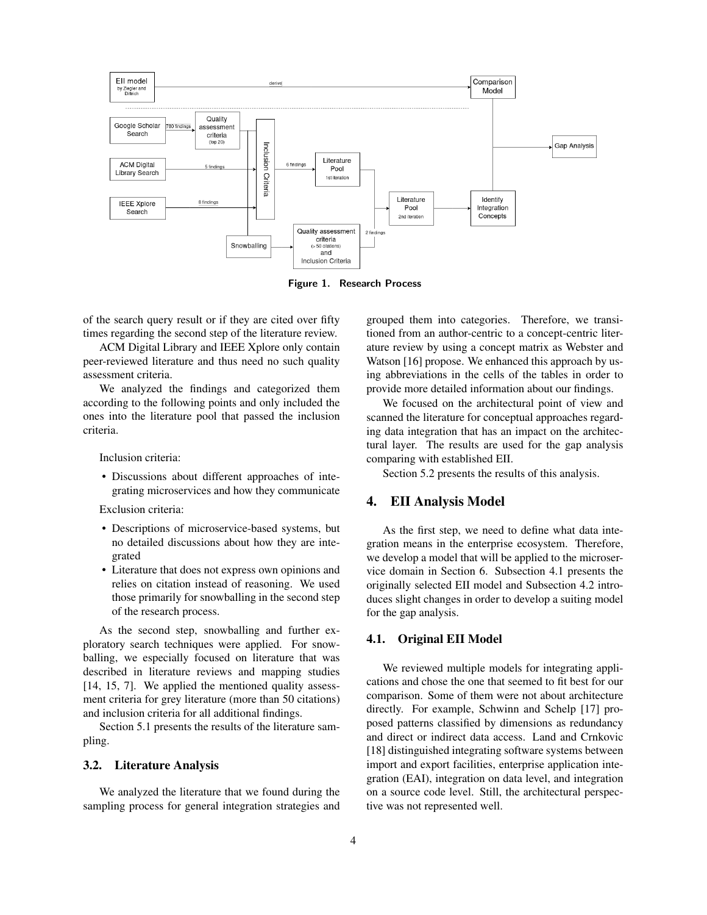

Figure 1. Research Process

of the search query result or if they are cited over fifty times regarding the second step of the literature review.

ACM Digital Library and IEEE Xplore only contain peer-reviewed literature and thus need no such quality assessment criteria.

We analyzed the findings and categorized them according to the following points and only included the ones into the literature pool that passed the inclusion criteria.

Inclusion criteria:

• Discussions about different approaches of integrating microservices and how they communicate

Exclusion criteria:

- Descriptions of microservice-based systems, but no detailed discussions about how they are integrated
- Literature that does not express own opinions and relies on citation instead of reasoning. We used those primarily for snowballing in the second step of the research process.

As the second step, snowballing and further exploratory search techniques were applied. For snowballing, we especially focused on literature that was described in literature reviews and mapping studies [14, 15, 7]. We applied the mentioned quality assessment criteria for grey literature (more than 50 citations) and inclusion criteria for all additional findings.

Section 5.1 presents the results of the literature sampling.

#### 3.2. Literature Analysis

We analyzed the literature that we found during the sampling process for general integration strategies and

grouped them into categories. Therefore, we transitioned from an author-centric to a concept-centric literature review by using a concept matrix as Webster and Watson [16] propose. We enhanced this approach by using abbreviations in the cells of the tables in order to provide more detailed information about our findings.

We focused on the architectural point of view and scanned the literature for conceptual approaches regarding data integration that has an impact on the architectural layer. The results are used for the gap analysis comparing with established EII.

Section 5.2 presents the results of this analysis.

# 4. EII Analysis Model

As the first step, we need to define what data integration means in the enterprise ecosystem. Therefore, we develop a model that will be applied to the microservice domain in Section 6. Subsection 4.1 presents the originally selected EII model and Subsection 4.2 introduces slight changes in order to develop a suiting model for the gap analysis.

## 4.1. Original EII Model

We reviewed multiple models for integrating applications and chose the one that seemed to fit best for our comparison. Some of them were not about architecture directly. For example, Schwinn and Schelp [17] proposed patterns classified by dimensions as redundancy and direct or indirect data access. Land and Crnkovic [18] distinguished integrating software systems between import and export facilities, enterprise application integration (EAI), integration on data level, and integration on a source code level. Still, the architectural perspective was not represented well.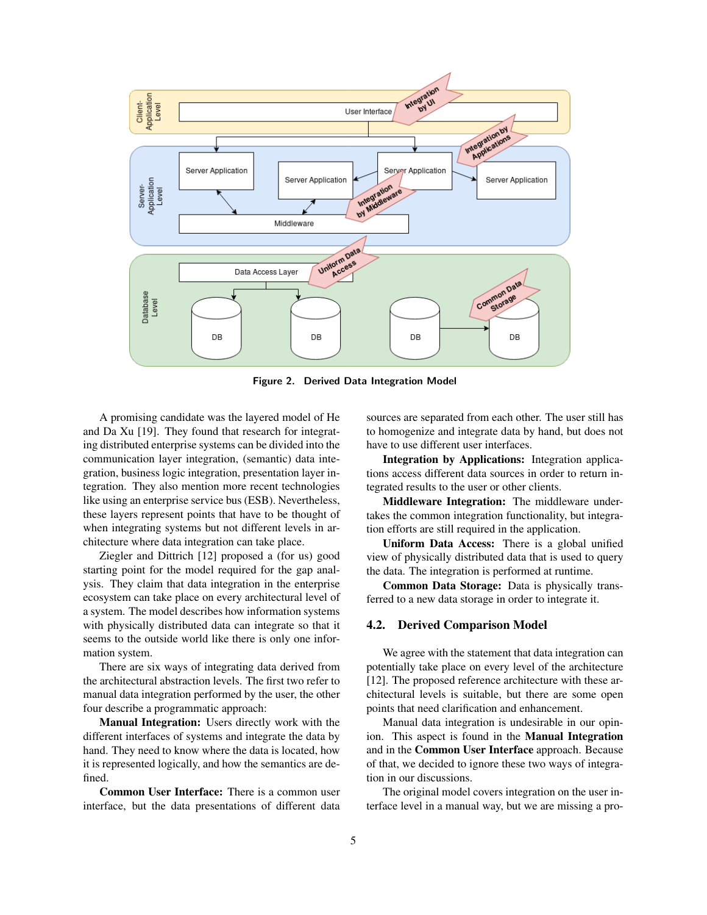

Figure 2. Derived Data Integration Model

A promising candidate was the layered model of He and Da Xu [19]. They found that research for integrating distributed enterprise systems can be divided into the communication layer integration, (semantic) data integration, business logic integration, presentation layer integration. They also mention more recent technologies like using an enterprise service bus (ESB). Nevertheless, these layers represent points that have to be thought of when integrating systems but not different levels in architecture where data integration can take place.

Ziegler and Dittrich [12] proposed a (for us) good starting point for the model required for the gap analysis. They claim that data integration in the enterprise ecosystem can take place on every architectural level of a system. The model describes how information systems with physically distributed data can integrate so that it seems to the outside world like there is only one information system.

There are six ways of integrating data derived from the architectural abstraction levels. The first two refer to manual data integration performed by the user, the other four describe a programmatic approach:

Manual Integration: Users directly work with the different interfaces of systems and integrate the data by hand. They need to know where the data is located, how it is represented logically, and how the semantics are defined.

Common User Interface: There is a common user interface, but the data presentations of different data

sources are separated from each other. The user still has to homogenize and integrate data by hand, but does not have to use different user interfaces.

Integration by Applications: Integration applications access different data sources in order to return integrated results to the user or other clients.

Middleware Integration: The middleware undertakes the common integration functionality, but integration efforts are still required in the application.

Uniform Data Access: There is a global unified view of physically distributed data that is used to query the data. The integration is performed at runtime.

Common Data Storage: Data is physically transferred to a new data storage in order to integrate it.

#### 4.2. Derived Comparison Model

We agree with the statement that data integration can potentially take place on every level of the architecture [12]. The proposed reference architecture with these architectural levels is suitable, but there are some open points that need clarification and enhancement.

Manual data integration is undesirable in our opinion. This aspect is found in the Manual Integration and in the Common User Interface approach. Because of that, we decided to ignore these two ways of integration in our discussions.

The original model covers integration on the user interface level in a manual way, but we are missing a pro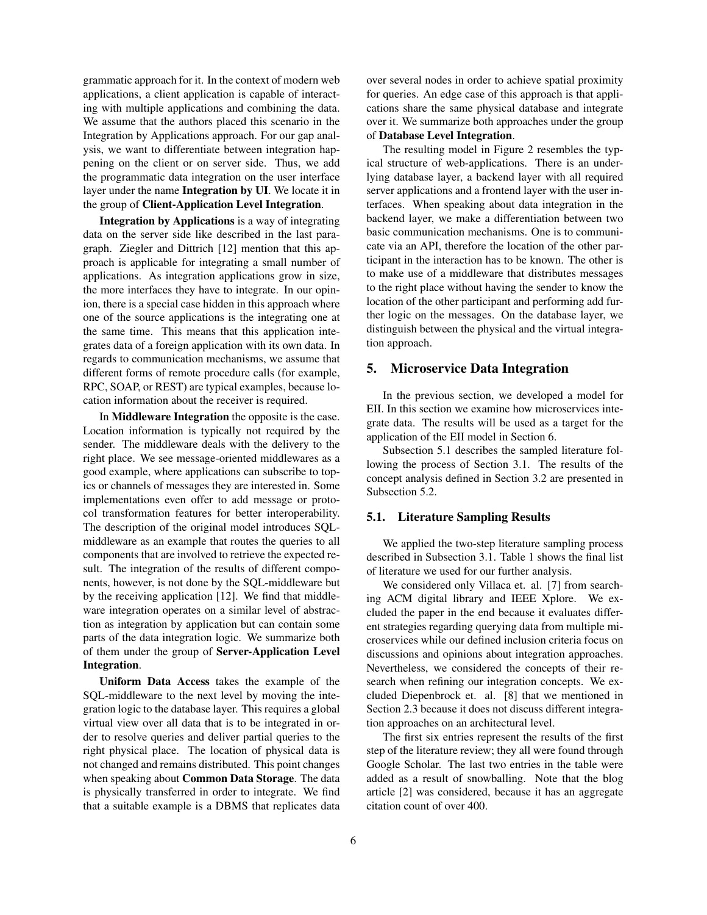grammatic approach for it. In the context of modern web applications, a client application is capable of interacting with multiple applications and combining the data. We assume that the authors placed this scenario in the Integration by Applications approach. For our gap analysis, we want to differentiate between integration happening on the client or on server side. Thus, we add the programmatic data integration on the user interface layer under the name Integration by UI. We locate it in the group of Client-Application Level Integration.

Integration by Applications is a way of integrating data on the server side like described in the last paragraph. Ziegler and Dittrich [12] mention that this approach is applicable for integrating a small number of applications. As integration applications grow in size, the more interfaces they have to integrate. In our opinion, there is a special case hidden in this approach where one of the source applications is the integrating one at the same time. This means that this application integrates data of a foreign application with its own data. In regards to communication mechanisms, we assume that different forms of remote procedure calls (for example, RPC, SOAP, or REST) are typical examples, because location information about the receiver is required.

In Middleware Integration the opposite is the case. Location information is typically not required by the sender. The middleware deals with the delivery to the right place. We see message-oriented middlewares as a good example, where applications can subscribe to topics or channels of messages they are interested in. Some implementations even offer to add message or protocol transformation features for better interoperability. The description of the original model introduces SQLmiddleware as an example that routes the queries to all components that are involved to retrieve the expected result. The integration of the results of different components, however, is not done by the SQL-middleware but by the receiving application [12]. We find that middleware integration operates on a similar level of abstraction as integration by application but can contain some parts of the data integration logic. We summarize both of them under the group of Server-Application Level Integration.

Uniform Data Access takes the example of the SQL-middleware to the next level by moving the integration logic to the database layer. This requires a global virtual view over all data that is to be integrated in order to resolve queries and deliver partial queries to the right physical place. The location of physical data is not changed and remains distributed. This point changes when speaking about Common Data Storage. The data is physically transferred in order to integrate. We find that a suitable example is a DBMS that replicates data

over several nodes in order to achieve spatial proximity for queries. An edge case of this approach is that applications share the same physical database and integrate over it. We summarize both approaches under the group of Database Level Integration.

The resulting model in Figure 2 resembles the typical structure of web-applications. There is an underlying database layer, a backend layer with all required server applications and a frontend layer with the user interfaces. When speaking about data integration in the backend layer, we make a differentiation between two basic communication mechanisms. One is to communicate via an API, therefore the location of the other participant in the interaction has to be known. The other is to make use of a middleware that distributes messages to the right place without having the sender to know the location of the other participant and performing add further logic on the messages. On the database layer, we distinguish between the physical and the virtual integration approach.

## 5. Microservice Data Integration

In the previous section, we developed a model for EII. In this section we examine how microservices integrate data. The results will be used as a target for the application of the EII model in Section 6.

Subsection 5.1 describes the sampled literature following the process of Section 3.1. The results of the concept analysis defined in Section 3.2 are presented in Subsection 5.2.

#### 5.1. Literature Sampling Results

We applied the two-step literature sampling process described in Subsection 3.1. Table 1 shows the final list of literature we used for our further analysis.

We considered only Villaca et. al. [7] from searching ACM digital library and IEEE Xplore. We excluded the paper in the end because it evaluates different strategies regarding querying data from multiple microservices while our defined inclusion criteria focus on discussions and opinions about integration approaches. Nevertheless, we considered the concepts of their research when refining our integration concepts. We excluded Diepenbrock et. al. [8] that we mentioned in Section 2.3 because it does not discuss different integration approaches on an architectural level.

The first six entries represent the results of the first step of the literature review; they all were found through Google Scholar. The last two entries in the table were added as a result of snowballing. Note that the blog article [2] was considered, because it has an aggregate citation count of over 400.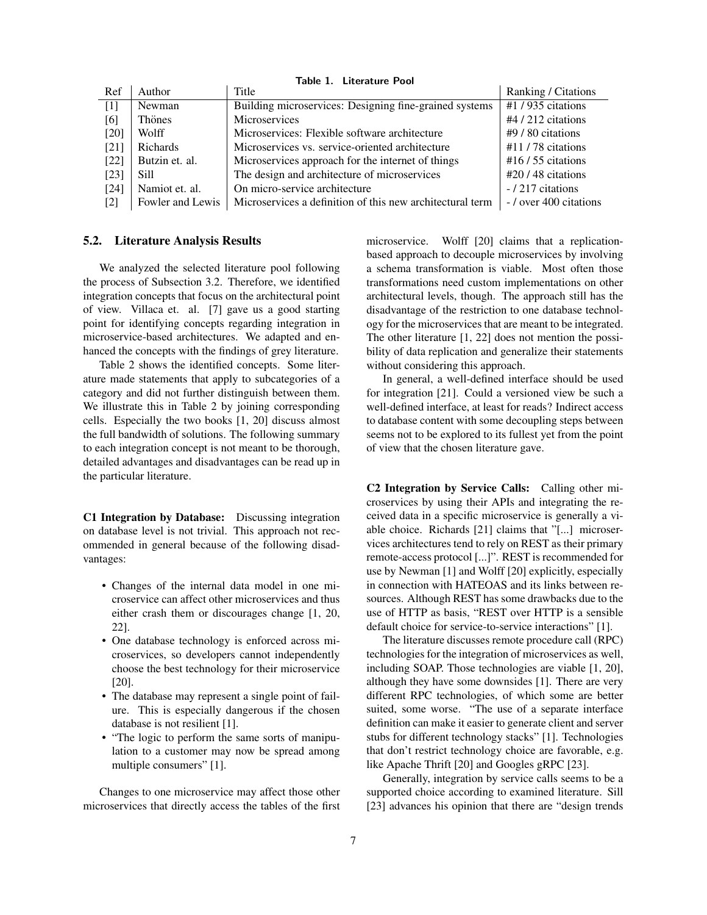| Ref               | Author           | Title                                                     | Ranking / Citations   |
|-------------------|------------------|-----------------------------------------------------------|-----------------------|
| $\lceil 1 \rceil$ | Newman           | Building microservices: Designing fine-grained systems    | #1/935 citations      |
| [6]               | Thönes           | <b>Microservices</b>                                      | $#4/212$ citations    |
| $[20]$            | Wolff            | Microservices: Flexible software architecture             | $#9/80$ citations     |
| [21]              | Richards         | Microservices vs. service-oriented architecture           | $#11/78$ citations    |
| [22]              | Butzin et. al.   | Microservices approach for the internet of things         | $#16/55$ citations    |
| [23]              | Sill             | The design and architecture of microservices              | $\#20/48$ citations   |
| $[24]$            | Namiot et. al.   | On micro-service architecture                             | -/217 citations       |
| $[2]$             | Fowler and Lewis | Microservices a definition of this new architectural term | -/ over 400 citations |

Table 1. Literature Pool

## 5.2. Literature Analysis Results

We analyzed the selected literature pool following the process of Subsection 3.2. Therefore, we identified integration concepts that focus on the architectural point of view. Villaca et. al. [7] gave us a good starting point for identifying concepts regarding integration in microservice-based architectures. We adapted and enhanced the concepts with the findings of grey literature.

Table 2 shows the identified concepts. Some literature made statements that apply to subcategories of a category and did not further distinguish between them. We illustrate this in Table 2 by joining corresponding cells. Especially the two books [1, 20] discuss almost the full bandwidth of solutions. The following summary to each integration concept is not meant to be thorough, detailed advantages and disadvantages can be read up in the particular literature.

C1 Integration by Database: Discussing integration on database level is not trivial. This approach not recommended in general because of the following disadvantages:

- Changes of the internal data model in one microservice can affect other microservices and thus either crash them or discourages change [1, 20, 22].
- One database technology is enforced across microservices, so developers cannot independently choose the best technology for their microservice [20].
- The database may represent a single point of failure. This is especially dangerous if the chosen database is not resilient [1].
- "The logic to perform the same sorts of manipulation to a customer may now be spread among multiple consumers" [1].

Changes to one microservice may affect those other microservices that directly access the tables of the first microservice. Wolff [20] claims that a replicationbased approach to decouple microservices by involving a schema transformation is viable. Most often those transformations need custom implementations on other architectural levels, though. The approach still has the disadvantage of the restriction to one database technology for the microservices that are meant to be integrated. The other literature [1, 22] does not mention the possibility of data replication and generalize their statements without considering this approach.

In general, a well-defined interface should be used for integration [21]. Could a versioned view be such a well-defined interface, at least for reads? Indirect access to database content with some decoupling steps between seems not to be explored to its fullest yet from the point of view that the chosen literature gave.

C2 Integration by Service Calls: Calling other microservices by using their APIs and integrating the received data in a specific microservice is generally a viable choice. Richards [21] claims that "[...] microservices architectures tend to rely on REST as their primary remote-access protocol [...]". REST is recommended for use by Newman [1] and Wolff [20] explicitly, especially in connection with HATEOAS and its links between resources. Although REST has some drawbacks due to the use of HTTP as basis, "REST over HTTP is a sensible default choice for service-to-service interactions" [1].

The literature discusses remote procedure call (RPC) technologies for the integration of microservices as well, including SOAP. Those technologies are viable [1, 20], although they have some downsides [1]. There are very different RPC technologies, of which some are better suited, some worse. "The use of a separate interface definition can make it easier to generate client and server stubs for different technology stacks" [1]. Technologies that don't restrict technology choice are favorable, e.g. like Apache Thrift [20] and Googles gRPC [23].

Generally, integration by service calls seems to be a supported choice according to examined literature. Sill [23] advances his opinion that there are "design trends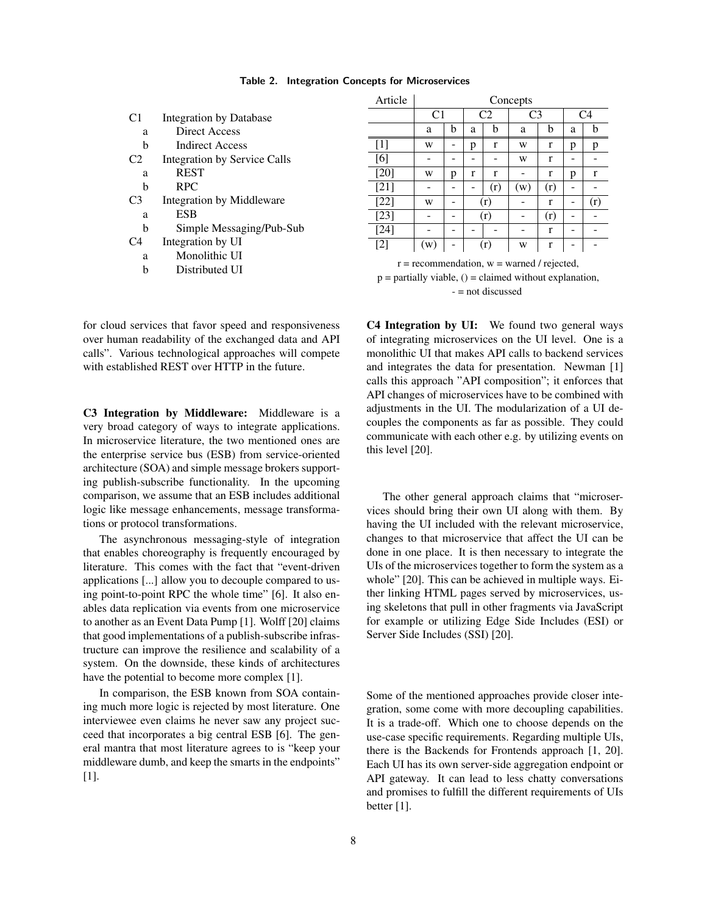| C1             | Integration by Database      |  |  |  |  |
|----------------|------------------------------|--|--|--|--|
| a              | Direct Access                |  |  |  |  |
| h              | <b>Indirect Access</b>       |  |  |  |  |
| C <sub>2</sub> | Integration by Service Calls |  |  |  |  |
| a              | <b>REST</b>                  |  |  |  |  |
| h              | <b>RPC</b>                   |  |  |  |  |
| C <sub>3</sub> | Integration by Middleware    |  |  |  |  |
| a              | <b>ESB</b>                   |  |  |  |  |
| h              | Simple Messaging/Pub-Sub     |  |  |  |  |
| C4             | Integration by UI            |  |  |  |  |
| a              | Monolithic UI                |  |  |  |  |
| h              | Distributed UI               |  |  |  |  |
|                |                              |  |  |  |  |

 $\overline{a}$ 

| Article                                                   | Concepts       |   |                |              |                |     |                |     |  |  |  |
|-----------------------------------------------------------|----------------|---|----------------|--------------|----------------|-----|----------------|-----|--|--|--|
|                                                           | C <sub>1</sub> |   | C <sub>2</sub> |              | C <sub>3</sub> |     | C <sub>4</sub> |     |  |  |  |
|                                                           | a              | b | a              | b            | a              | b   | a              | b   |  |  |  |
| $[1]$                                                     | W              |   | p              | $\mathbf{r}$ | W              | r   | p              | р   |  |  |  |
| [6]                                                       |                |   |                |              | W              | r   |                |     |  |  |  |
| $[20]$                                                    | W              | p | r              | r            |                | r   | p              | r   |  |  |  |
| $[21]$                                                    |                |   |                | (r)          | (w)            | (r) |                |     |  |  |  |
| $[22]$                                                    | W              |   | (r)            |              |                | r   |                | (r) |  |  |  |
| $[23]$                                                    |                |   | (r)            |              |                | (r) |                |     |  |  |  |
| $[24]$                                                    |                |   |                |              |                | r   |                |     |  |  |  |
| $[2]$                                                     | (w)            |   | (r)            |              | W              | r   |                |     |  |  |  |
| $r =$ recommendation, $w =$ warned / rejected,            |                |   |                |              |                |     |                |     |  |  |  |
| $p =$ partially viable, () = claimed without explanation, |                |   |                |              |                |     |                |     |  |  |  |
| $=$ not discussed                                         |                |   |                |              |                |     |                |     |  |  |  |

for cloud services that favor speed and responsiveness over human readability of the exchanged data and API calls". Various technological approaches will compete with established REST over HTTP in the future.

C3 Integration by Middleware: Middleware is a very broad category of ways to integrate applications. In microservice literature, the two mentioned ones are the enterprise service bus (ESB) from service-oriented architecture (SOA) and simple message brokers supporting publish-subscribe functionality. In the upcoming comparison, we assume that an ESB includes additional logic like message enhancements, message transformations or protocol transformations.

The asynchronous messaging-style of integration that enables choreography is frequently encouraged by literature. This comes with the fact that "event-driven applications [...] allow you to decouple compared to using point-to-point RPC the whole time" [6]. It also enables data replication via events from one microservice to another as an Event Data Pump [1]. Wolff [20] claims that good implementations of a publish-subscribe infrastructure can improve the resilience and scalability of a system. On the downside, these kinds of architectures have the potential to become more complex [1].

In comparison, the ESB known from SOA containing much more logic is rejected by most literature. One interviewee even claims he never saw any project succeed that incorporates a big central ESB [6]. The general mantra that most literature agrees to is "keep your middleware dumb, and keep the smarts in the endpoints" [1].

C4 Integration by UI: We found two general ways of integrating microservices on the UI level. One is a monolithic UI that makes API calls to backend services and integrates the data for presentation. Newman [1] calls this approach "API composition"; it enforces that API changes of microservices have to be combined with adjustments in the UI. The modularization of a UI decouples the components as far as possible. They could communicate with each other e.g. by utilizing events on this level [20].

The other general approach claims that "microservices should bring their own UI along with them. By having the UI included with the relevant microservice, changes to that microservice that affect the UI can be done in one place. It is then necessary to integrate the UIs of the microservices together to form the system as a whole" [20]. This can be achieved in multiple ways. Either linking HTML pages served by microservices, using skeletons that pull in other fragments via JavaScript for example or utilizing Edge Side Includes (ESI) or Server Side Includes (SSI) [20].

Some of the mentioned approaches provide closer integration, some come with more decoupling capabilities. It is a trade-off. Which one to choose depends on the use-case specific requirements. Regarding multiple UIs, there is the Backends for Frontends approach [1, 20]. Each UI has its own server-side aggregation endpoint or API gateway. It can lead to less chatty conversations and promises to fulfill the different requirements of UIs better [1].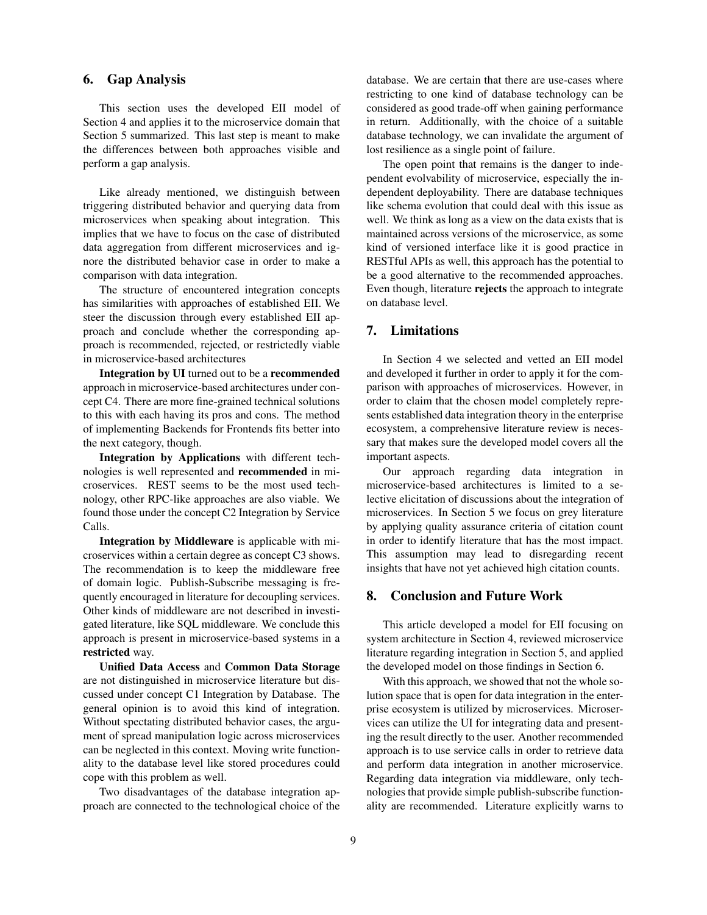# 6. Gap Analysis

This section uses the developed EII model of Section 4 and applies it to the microservice domain that Section 5 summarized. This last step is meant to make the differences between both approaches visible and perform a gap analysis.

Like already mentioned, we distinguish between triggering distributed behavior and querying data from microservices when speaking about integration. This implies that we have to focus on the case of distributed data aggregation from different microservices and ignore the distributed behavior case in order to make a comparison with data integration.

The structure of encountered integration concepts has similarities with approaches of established EII. We steer the discussion through every established EII approach and conclude whether the corresponding approach is recommended, rejected, or restrictedly viable in microservice-based architectures

Integration by UI turned out to be a recommended approach in microservice-based architectures under concept C4. There are more fine-grained technical solutions to this with each having its pros and cons. The method of implementing Backends for Frontends fits better into the next category, though.

Integration by Applications with different technologies is well represented and recommended in microservices. REST seems to be the most used technology, other RPC-like approaches are also viable. We found those under the concept C2 Integration by Service Calls.

Integration by Middleware is applicable with microservices within a certain degree as concept C3 shows. The recommendation is to keep the middleware free of domain logic. Publish-Subscribe messaging is frequently encouraged in literature for decoupling services. Other kinds of middleware are not described in investigated literature, like SQL middleware. We conclude this approach is present in microservice-based systems in a restricted way.

Unified Data Access and Common Data Storage are not distinguished in microservice literature but discussed under concept C1 Integration by Database. The general opinion is to avoid this kind of integration. Without spectating distributed behavior cases, the argument of spread manipulation logic across microservices can be neglected in this context. Moving write functionality to the database level like stored procedures could cope with this problem as well.

Two disadvantages of the database integration approach are connected to the technological choice of the database. We are certain that there are use-cases where restricting to one kind of database technology can be considered as good trade-off when gaining performance in return. Additionally, with the choice of a suitable database technology, we can invalidate the argument of lost resilience as a single point of failure.

The open point that remains is the danger to independent evolvability of microservice, especially the independent deployability. There are database techniques like schema evolution that could deal with this issue as well. We think as long as a view on the data exists that is maintained across versions of the microservice, as some kind of versioned interface like it is good practice in RESTful APIs as well, this approach has the potential to be a good alternative to the recommended approaches. Even though, literature rejects the approach to integrate on database level.

# 7. Limitations

In Section 4 we selected and vetted an EII model and developed it further in order to apply it for the comparison with approaches of microservices. However, in order to claim that the chosen model completely represents established data integration theory in the enterprise ecosystem, a comprehensive literature review is necessary that makes sure the developed model covers all the important aspects.

Our approach regarding data integration in microservice-based architectures is limited to a selective elicitation of discussions about the integration of microservices. In Section 5 we focus on grey literature by applying quality assurance criteria of citation count in order to identify literature that has the most impact. This assumption may lead to disregarding recent insights that have not yet achieved high citation counts.

## 8. Conclusion and Future Work

This article developed a model for EII focusing on system architecture in Section 4, reviewed microservice literature regarding integration in Section 5, and applied the developed model on those findings in Section 6.

With this approach, we showed that not the whole solution space that is open for data integration in the enterprise ecosystem is utilized by microservices. Microservices can utilize the UI for integrating data and presenting the result directly to the user. Another recommended approach is to use service calls in order to retrieve data and perform data integration in another microservice. Regarding data integration via middleware, only technologies that provide simple publish-subscribe functionality are recommended. Literature explicitly warns to